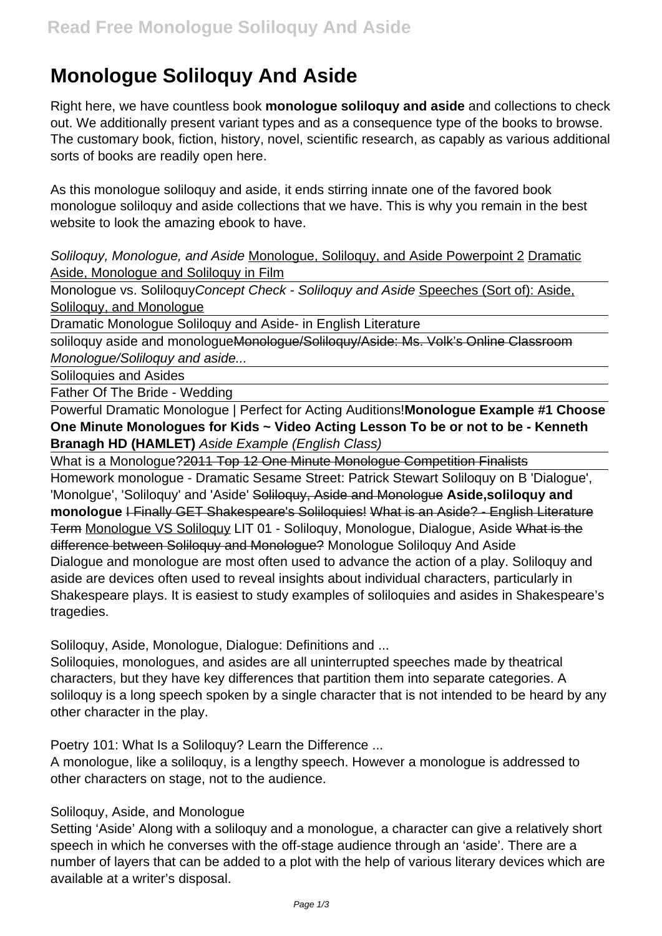# **Monologue Soliloquy And Aside**

Right here, we have countless book **monologue soliloquy and aside** and collections to check out. We additionally present variant types and as a consequence type of the books to browse. The customary book, fiction, history, novel, scientific research, as capably as various additional sorts of books are readily open here.

As this monologue soliloquy and aside, it ends stirring innate one of the favored book monologue soliloquy and aside collections that we have. This is why you remain in the best website to look the amazing ebook to have.

Soliloquy, Monologue, and Aside Monologue, Soliloguy, and Aside Powerpoint 2 Dramatic Aside, Monologue and Soliloquy in Film

Monologue vs. SoliloquyConcept Check - Soliloquy and Aside Speeches (Sort of): Aside, Soliloquy, and Monoloque

Dramatic Monologue Soliloquy and Aside- in English Literature

soliloquy aside and monologueMonologue/Soliloquy/Aside: Ms. Volk's Online Classroom Monologue/Soliloquy and aside...

Soliloquies and Asides

Father Of The Bride - Wedding

Powerful Dramatic Monologue | Perfect for Acting Auditions!**Monologue Example #1 Choose One Minute Monologues for Kids ~ Video Acting Lesson To be or not to be - Kenneth Branagh HD (HAMLET)** Aside Example (English Class)

What is a Monologue? 2011 Top 12 One Minute Monologue Competition Finalists

Homework monologue - Dramatic Sesame Street: Patrick Stewart Soliloquy on B 'Dialogue', 'Monolgue', 'Soliloquy' and 'Aside' Soliloquy, Aside and Monologue **Aside,soliloquy and monologue** I Finally GET Shakespeare's Soliloquies! What is an Aside? - English Literature Term Monologue VS Soliloquy LIT 01 - Soliloquy, Monologue, Dialogue, Aside What is the difference between Soliloquy and Monologue? Monologue Soliloquy And Aside Dialogue and monologue are most often used to advance the action of a play. Soliloquy and aside are devices often used to reveal insights about individual characters, particularly in Shakespeare plays. It is easiest to study examples of soliloquies and asides in Shakespeare's tragedies.

Soliloquy, Aside, Monologue, Dialogue: Definitions and ...

Soliloquies, monologues, and asides are all uninterrupted speeches made by theatrical characters, but they have key differences that partition them into separate categories. A soliloquy is a long speech spoken by a single character that is not intended to be heard by any other character in the play.

Poetry 101: What Is a Soliloquy? Learn the Difference ...

A monologue, like a soliloquy, is a lengthy speech. However a monologue is addressed to other characters on stage, not to the audience.

#### Soliloquy, Aside, and Monologue

Setting 'Aside' Along with a soliloquy and a monologue, a character can give a relatively short speech in which he converses with the off-stage audience through an 'aside'. There are a number of layers that can be added to a plot with the help of various literary devices which are available at a writer's disposal.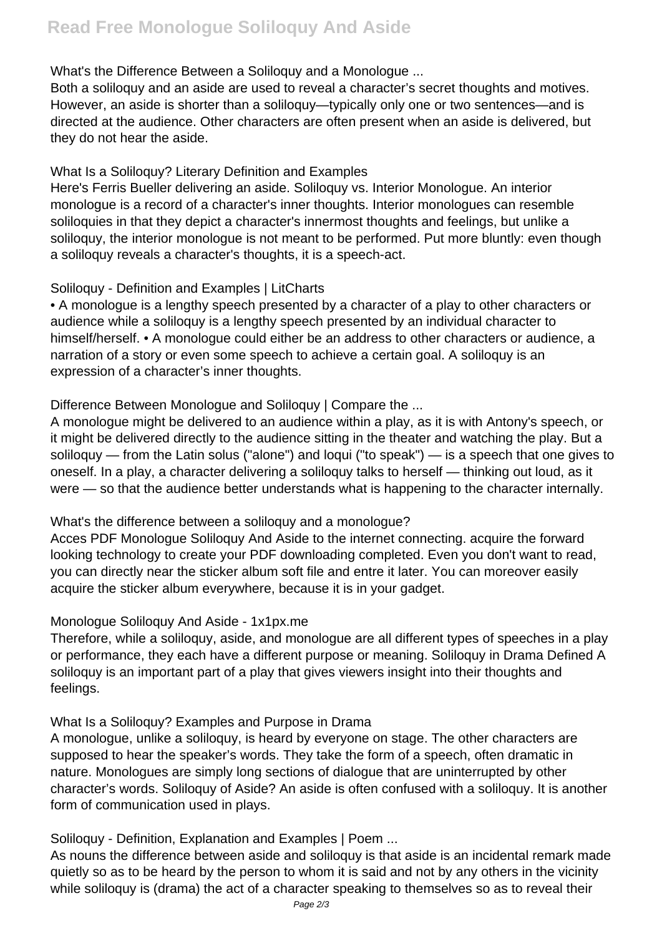#### What's the Difference Between a Soliloguy and a Monologue ...

Both a soliloquy and an aside are used to reveal a character's secret thoughts and motives. However, an aside is shorter than a soliloquy—typically only one or two sentences—and is directed at the audience. Other characters are often present when an aside is delivered, but they do not hear the aside.

#### What Is a Soliloquy? Literary Definition and Examples

Here's Ferris Bueller delivering an aside. Soliloquy vs. Interior Monologue. An interior monologue is a record of a character's inner thoughts. Interior monologues can resemble soliloquies in that they depict a character's innermost thoughts and feelings, but unlike a soliloguy, the interior monologue is not meant to be performed. Put more bluntly: even though a soliloquy reveals a character's thoughts, it is a speech-act.

## Soliloquy - Definition and Examples | LitCharts

• A monologue is a lengthy speech presented by a character of a play to other characters or audience while a soliloquy is a lengthy speech presented by an individual character to himself/herself. • A monologue could either be an address to other characters or audience, a narration of a story or even some speech to achieve a certain goal. A soliloquy is an expression of a character's inner thoughts.

## Difference Between Monologue and Soliloguy | Compare the ...

A monologue might be delivered to an audience within a play, as it is with Antony's speech, or it might be delivered directly to the audience sitting in the theater and watching the play. But a soliloquy — from the Latin solus ("alone") and loqui ("to speak") — is a speech that one gives to oneself. In a play, a character delivering a soliloquy talks to herself — thinking out loud, as it were — so that the audience better understands what is happening to the character internally.

#### What's the difference between a soliloquy and a monologue?

Acces PDF Monologue Soliloquy And Aside to the internet connecting. acquire the forward looking technology to create your PDF downloading completed. Even you don't want to read, you can directly near the sticker album soft file and entre it later. You can moreover easily acquire the sticker album everywhere, because it is in your gadget.

#### Monologue Soliloquy And Aside - 1x1px.me

Therefore, while a soliloquy, aside, and monologue are all different types of speeches in a play or performance, they each have a different purpose or meaning. Soliloquy in Drama Defined A soliloquy is an important part of a play that gives viewers insight into their thoughts and feelings.

## What Is a Soliloquy? Examples and Purpose in Drama

A monologue, unlike a soliloquy, is heard by everyone on stage. The other characters are supposed to hear the speaker's words. They take the form of a speech, often dramatic in nature. Monologues are simply long sections of dialogue that are uninterrupted by other character's words. Soliloquy of Aside? An aside is often confused with a soliloquy. It is another form of communication used in plays.

## Soliloquy - Definition, Explanation and Examples | Poem ...

As nouns the difference between aside and soliloquy is that aside is an incidental remark made quietly so as to be heard by the person to whom it is said and not by any others in the vicinity while soliloquy is (drama) the act of a character speaking to themselves so as to reveal their